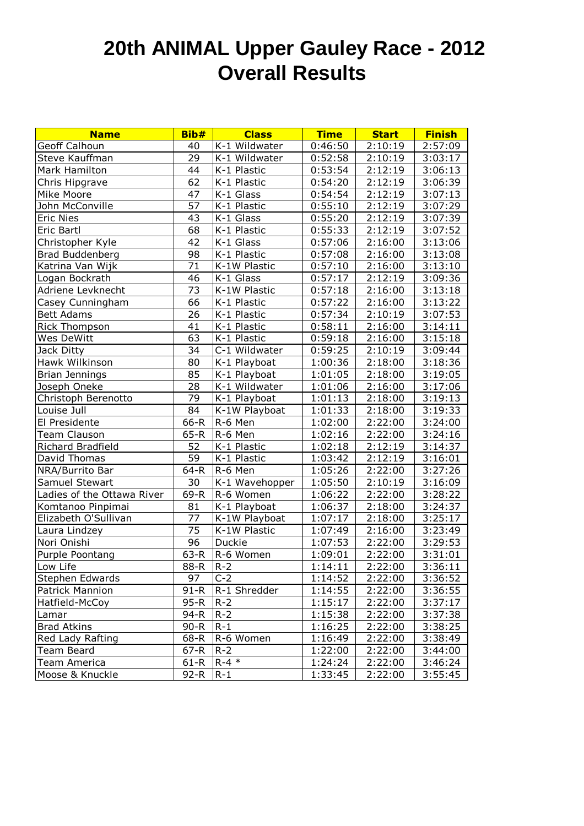## **20th ANIMAL Upper Gauley Race - 2012 Overall Results**

| <b>Name</b>                | Bib#            | <b>Class</b>   | <b>Time</b> | <b>Start</b> | <b>Finish</b> |
|----------------------------|-----------------|----------------|-------------|--------------|---------------|
| <b>Geoff Calhoun</b>       | 40              | K-1 Wildwater  | 0:46:50     | 2:10:19      | 2:57:09       |
| Steve Kauffman             | 29              | K-1 Wildwater  | 0:52:58     | 2:10:19      | 3:03:17       |
| Mark Hamilton              | 44              | K-1 Plastic    | 0:53:54     | 2:12:19      | 3:06:13       |
| Chris Hipgrave             | 62              | K-1 Plastic    | 0:54:20     | 2:12:19      | 3:06:39       |
| Mike Moore                 | 47              | K-1 Glass      | 0:54:54     | 2:12:19      | 3:07:13       |
| John McConville            | $\overline{57}$ | K-1 Plastic    | 0:55:10     | 2:12:19      | 3:07:29       |
| <b>Eric Nies</b>           | 43              | K-1 Glass      | 0:55:20     | 2:12:19      | 3:07:39       |
| Eric Bartl                 | 68              | K-1 Plastic    | 0:55:33     | 2:12:19      | 3:07:52       |
| Christopher Kyle           | 42              | K-1 Glass      | 0:57:06     | 2:16:00      | 3:13:06       |
| <b>Brad Buddenberg</b>     | 98              | K-1 Plastic    | 0:57:08     | 2:16:00      | 3:13:08       |
| Katrina Van Wijk           | 71              | K-1W Plastic   | 0:57:10     | 2:16:00      | 3:13:10       |
| Logan Bockrath             | 46              | K-1 Glass      | 0:57:17     | 2:12:19      | 3:09:36       |
| Adriene Levknecht          | 73              | K-1W Plastic   | 0:57:18     | 2:16:00      | 3:13:18       |
| Casey Cunningham           | 66              | K-1 Plastic    | 0:57:22     | 2:16:00      | 3:13:22       |
| <b>Bett Adams</b>          | 26              | K-1 Plastic    | 0:57:34     | 2:10:19      | 3:07:53       |
| <b>Rick Thompson</b>       | 41              | K-1 Plastic    | 0:58:11     | 2:16:00      | 3:14:11       |
| Wes DeWitt                 | 63              | K-1 Plastic    | 0:59:18     | 2:16:00      | 3:15:18       |
| Jack Ditty                 | 34              | C-1 Wildwater  | 0:59:25     | 2:10:19      | 3:09:44       |
| Hawk Wilkinson             | 80              | K-1 Playboat   | 1:00:36     | 2:18:00      | 3:18:36       |
| <b>Brian Jennings</b>      | 85              | K-1 Playboat   | 1:01:05     | 2:18:00      | 3:19:05       |
| Joseph Oneke               | 28              | K-1 Wildwater  | 1:01:06     | 2:16:00      | 3:17:06       |
| Christoph Berenotto        | 79              | K-1 Playboat   | 1:01:13     | 2:18:00      | 3:19:13       |
| Louise Jull                | 84              | K-1W Playboat  | 1:01:33     | 2:18:00      | 3:19:33       |
| El Presidente              | $66-R$          | R-6 Men        | 1:02:00     | 2:22:00      | 3:24:00       |
| <b>Team Clauson</b>        | $65-R$          | R-6 Men        | 1:02:16     | 2:22:00      | 3:24:16       |
| Richard Bradfield          | 52              | K-1 Plastic    | 1:02:18     | 2:12:19      | 3:14:37       |
| David Thomas               | 59              | K-1 Plastic    | 1:03:42     | 2:12:19      | 3:16:01       |
| NRA/Burrito Bar            | $64 - R$        | R-6 Men        | 1:05:26     | 2:22:00      | 3:27:26       |
| Samuel Stewart             | 30              | K-1 Wavehopper | 1:05:50     | 2:10:19      | 3:16:09       |
| Ladies of the Ottawa River | 69-R            | R-6 Women      | 1:06:22     | 2:22:00      | 3:28:22       |
| Komtanoo Pinpimai          | 81              | K-1 Playboat   | 1:06:37     | 2:18:00      | 3:24:37       |
| Elizabeth O'Sullivan       | 77              | K-1W Playboat  | 1:07:17     | 2:18:00      | 3:25:17       |
| Laura Lindzey              | 75              | K-1W Plastic   | 1:07:49     | 2:16:00      | 3:23:49       |
| Nori Onishi                | 96              | Duckie         | 1:07:53     | 2:22:00      | 3:29:53       |
| Purple Poontang            | $63-R$          | R-6 Women      | 1:09:01     | 2:22:00      | 3:31:01       |
| Low Life                   | 88-R            | $R-2$          | 1:14:11     | 2:22:00      | 3:36:11       |
| Stephen Edwards            | 97              | $C-2$          | 1:14:52     | 2:22:00      | 3:36:52       |
| Patrick Mannion            | 91-R            | R-1 Shredder   | 1:14:55     | 2:22:00      | 3:36:55       |
| Hatfield-McCoy             | 95-R            | $R-2$          | 1:15:17     | 2:22:00      | 3:37:17       |
| Lamar                      | 94-R            | $R-2$          | 1:15:38     | 2:22:00      | 3:37:38       |
| Brad Atkins                | $90 - R$        | $R-1$          | 1:16:25     | 2:22:00      | 3:38:25       |
| Red Lady Rafting           | 68-R            | R-6 Women      | 1:16:49     | 2:22:00      | 3:38:49       |
| <b>Team Beard</b>          | $67 - R$        | $R-2$          | 1:22:00     | 2:22:00      | 3:44:00       |
| Team America               | 61-R            | $R - 4 *$      | 1:24:24     | 2:22:00      | 3:46:24       |
| Moose & Knuckle            | 92-R            | $R-1$          | 1:33:45     | 2:22:00      | 3:55:45       |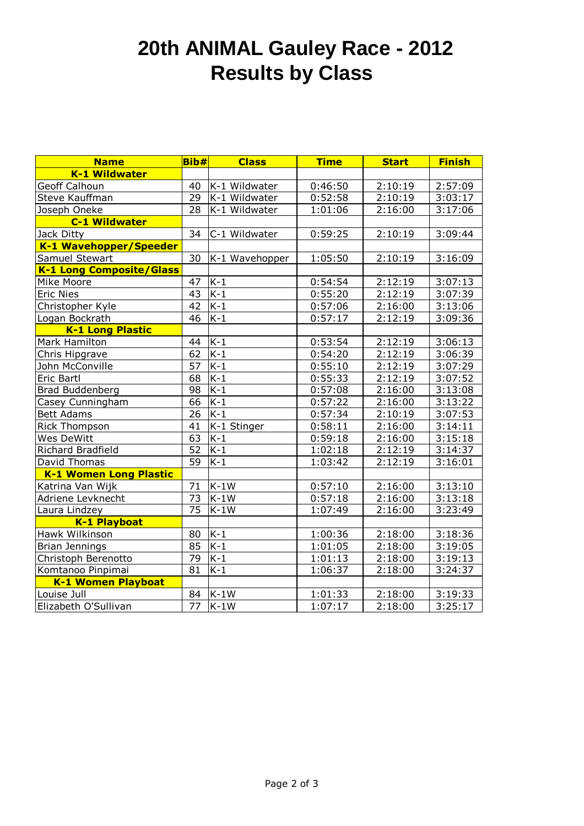## **20th ANIMAL Gauley Race - 2012 Results by Class**

| <b>Name</b>                     | Bib#            | <b>Class</b>       | <b>Time</b> | <b>Start</b> | <b>Finish</b> |
|---------------------------------|-----------------|--------------------|-------------|--------------|---------------|
| <b>K-1 Wildwater</b>            |                 |                    |             |              |               |
| Geoff Calhoun                   | 40              | K-1 Wildwater      | 0:46:50     | 2:10:19      | 2:57:09       |
| Steve Kauffman                  | 29              | K-1 Wildwater      | 0:52:58     | 2:10:19      | 3:03:17       |
| Joseph Oneke                    | 28              | K-1 Wildwater      | 1:01:06     | 2:16:00      | 3:17:06       |
| <b>C-1 Wildwater</b>            |                 |                    |             |              |               |
| Jack Ditty                      | 34              | C-1 Wildwater      | 0:59:25     | 2:10:19      | 3:09:44       |
| K-1 Wavehopper/Speeder          |                 |                    |             |              |               |
| Samuel Stewart                  | 30              | K-1 Wavehopper     | 1:05:50     | 2:10:19      | 3:16:09       |
| <b>K-1 Long Composite/Glass</b> |                 |                    |             |              |               |
| Mike Moore                      | 47              | $K-1$              | 0:54:54     | 2:12:19      | 3:07:13       |
| <b>Eric Nies</b>                | $\overline{43}$ | $K-1$              | 0:55:20     | 2:12:19      | 3:07:39       |
| Christopher Kyle                | 42              | $K-1$              | 0:57:06     | 2:16:00      | 3:13:06       |
| Logan Bockrath                  | $\overline{46}$ | $K-1$              | 0:57:17     | 2:12:19      | 3:09:36       |
| <b>K-1 Long Plastic</b>         |                 |                    |             |              |               |
| Mark Hamilton                   | 44              | $K-1$              | 0:53:54     | 2:12:19      | 3:06:13       |
| Chris Hipgrave                  | 62              | $K-1$              | 0:54:20     | 2:12:19      | 3:06:39       |
| John McConville                 | 57              | $K-1$              | 0:55:10     | 2:12:19      | 3:07:29       |
| Eric Bartl                      | 68              | $K-1$              | 0:55:33     | 2:12:19      | 3:07:52       |
| <b>Brad Buddenberg</b>          | 98              | $K-1$              | 0:57:08     | 2:16:00      | 3:13:08       |
| Casey Cunningham                | 66              | $K-1$              | 0:57:22     | 2:16:00      | 3:13:22       |
| <b>Bett Adams</b>               | 26              | $K-1$              | 0:57:34     | 2:10:19      | 3:07:53       |
| Rick Thompson                   | 41              | K-1 Stinger        | 0:58:11     | 2:16:00      | 3:14:11       |
| Wes DeWitt                      | 63              | $K-1$              | 0:59:18     | 2:16:00      | 3:15:18       |
| Richard Bradfield               | 52              | $K-1$              | 1:02:18     | 2:12:19      | 3:14:37       |
| David Thomas                    | $\overline{59}$ | $\overline{K-1}$   | 1:03:42     | 2:12:19      | 3:16:01       |
| <b>K-1 Women Long Plastic</b>   |                 |                    |             |              |               |
| Katrina Van Wijk                | 71              | $K-1W$             | 0:57:10     | 2:16:00      | 3:13:10       |
| Adriene Levknecht               | $\overline{73}$ | $\overline{K}$ -1W | 0:57:18     | 2:16:00      | 3:13:18       |
| Laura Lindzey                   | 75              | $K-1W$             | 1:07:49     | 2:16:00      | 3:23:49       |
| K-1 Playboat                    |                 |                    |             |              |               |
| Hawk Wilkinson                  | 80              | $K-1$              | 1:00:36     | 2:18:00      | 3:18:36       |
| Brian Jennings                  | 85              | $K-1$              | 1:01:05     | 2:18:00      | 3:19:05       |
| Christoph Berenotto             | 79              | $K-1$              | 1:01:13     | 2:18:00      | 3:19:13       |
| Komtanoo Pinpimai               | 81              | $K-1$              | 1:06:37     | 2:18:00      | 3:24:37       |
| K-1 Women Playboat              |                 |                    |             |              |               |
| Louise Jull                     | 84              | $K-1W$             | 1:01:33     | 2:18:00      | 3:19:33       |
| Elizabeth O'Sullivan            | $\overline{77}$ | $K-1W$             | 1:07:17     | 2:18:00      | 3:25:17       |